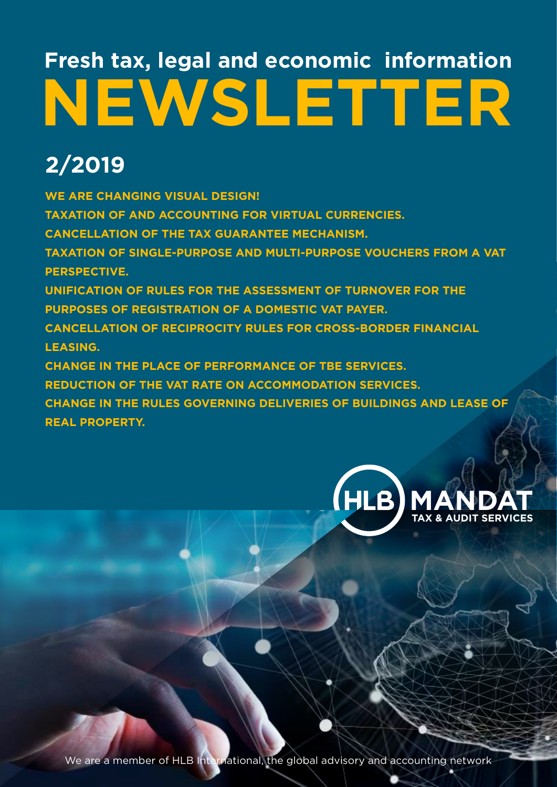# **NEWSLETTER Fresh tax, legal and economic information**

# **2/2019**

**WE ARE CHANGING VISUAL DESIGN! TAXATION OF AND ACCOUNTING FOR VIRTUAL CURRENCIES. CANCELLATION OF THE TAX GUARANTEE MECHANISM. TAXATION OF SINGLE-PURPOSE AND MULTI-PURPOSE VOUCHERS FROM A VAT PERSPECTIVE. UNIFICATION OF RULES FOR THE ASSESSMENT OF TURNOVER FOR THE PURPOSES OF REGISTRATION OF A DOMESTIC VAT PAYER. CANCELLATION OF RECIPROCITY RULES FOR CROSS-BORDER FINANCIAL LEASING. CHANGE IN THE PLACE OF PERFORMANCE OF TBE SERVICES. REDUCTION OF THE VAT RATE ON ACCOMMODATION SERVICES. CHANGE IN THE RULES GOVERNING DELIVERIES OF BUILDINGS AND LEASE OF REAL PROPERTY.**



We are a member of HLB International, the global advisory and accounting network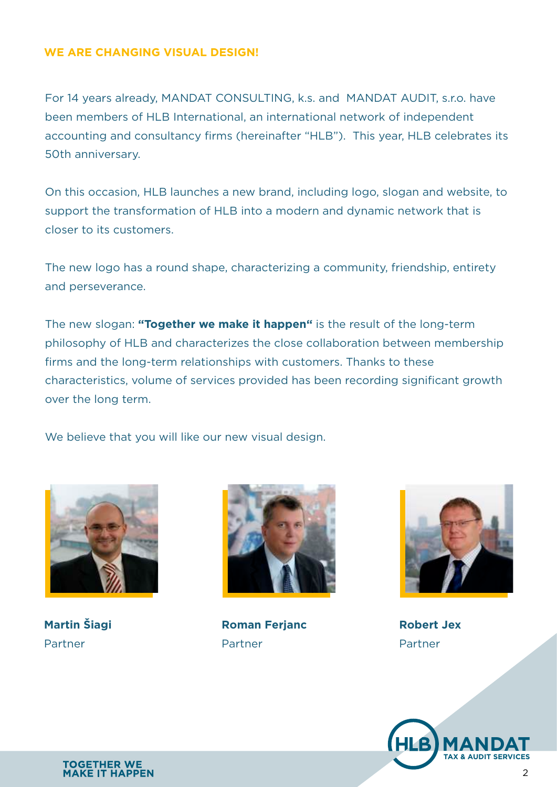#### **WE ARE CHANGING VISUAL DESIGN!**

For 14 years already, MANDAT CONSULTING, k.s. and MANDAT AUDIT, s.r.o. have been members of HLB International, an international network of independent accounting and consultancy firms (hereinafter "HLB"). This year, HLB celebrates its 50th anniversary.

On this occasion, HLB launches a new brand, including logo, slogan and website, to support the transformation of HLB into a modern and dynamic network that is closer to its customers.

The new logo has a round shape, characterizing a community, friendship, entirety and perseverance.

The new slogan: **"Together we make it happen"** is the result of the long-term philosophy of HLB and characterizes the close collaboration between membership firms and the long-term relationships with customers. Thanks to these characteristics, volume of services provided has been recording significant growth over the long term.

We believe that you will like our new visual design.



**Martin Šiagi** Partner



**Roman Ferjanc** Partner



**Robert Jex** Partner

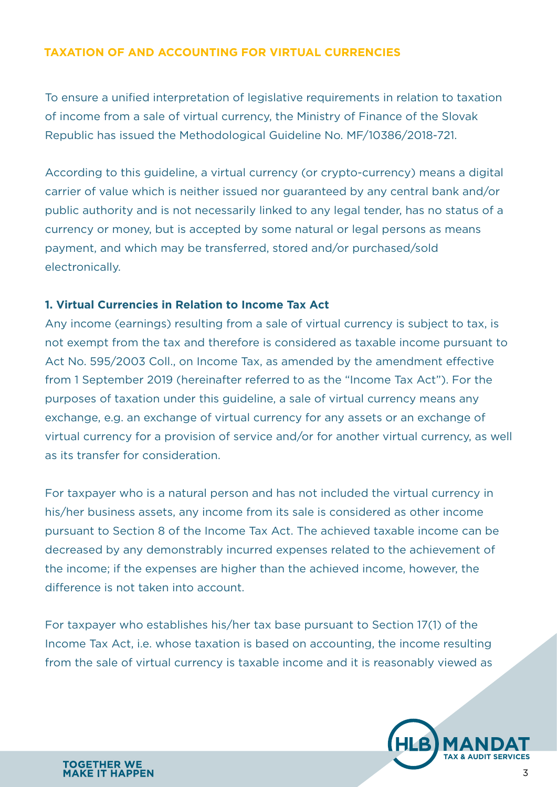## **TAXATION OF AND ACCOUNTING FOR VIRTUAL CURRENCIES**

To ensure a unified interpretation of legislative requirements in relation to taxation of income from a sale of virtual currency, the Ministry of Finance of the Slovak Republic has issued the Methodological Guideline No. MF/10386/2018-721.

According to this guideline, a virtual currency (or crypto-currency) means a digital carrier of value which is neither issued nor guaranteed by any central bank and/or public authority and is not necessarily linked to any legal tender, has no status of a currency or money, but is accepted by some natural or legal persons as means payment, and which may be transferred, stored and/or purchased/sold electronically.

### **1. Virtual Currencies in Relation to Income Tax Act**

Any income (earnings) resulting from a sale of virtual currency is subject to tax, is not exempt from the tax and therefore is considered as taxable income pursuant to Act No. 595/2003 Coll., on Income Tax, as amended by the amendment effective from 1 September 2019 (hereinafter referred to as the "Income Tax Act"). For the purposes of taxation under this guideline, a sale of virtual currency means any exchange, e.g. an exchange of virtual currency for any assets or an exchange of virtual currency for a provision of service and/or for another virtual currency, as well as its transfer for consideration.

For taxpayer who is a natural person and has not included the virtual currency in his/her business assets, any income from its sale is considered as other income pursuant to Section 8 of the Income Tax Act. The achieved taxable income can be decreased by any demonstrably incurred expenses related to the achievement of the income; if the expenses are higher than the achieved income, however, the difference is not taken into account.

For taxpayer who establishes his/her tax base pursuant to Section 17(1) of the Income Tax Act, i.e. whose taxation is based on accounting, the income resulting from the sale of virtual currency is taxable income and it is reasonably viewed as

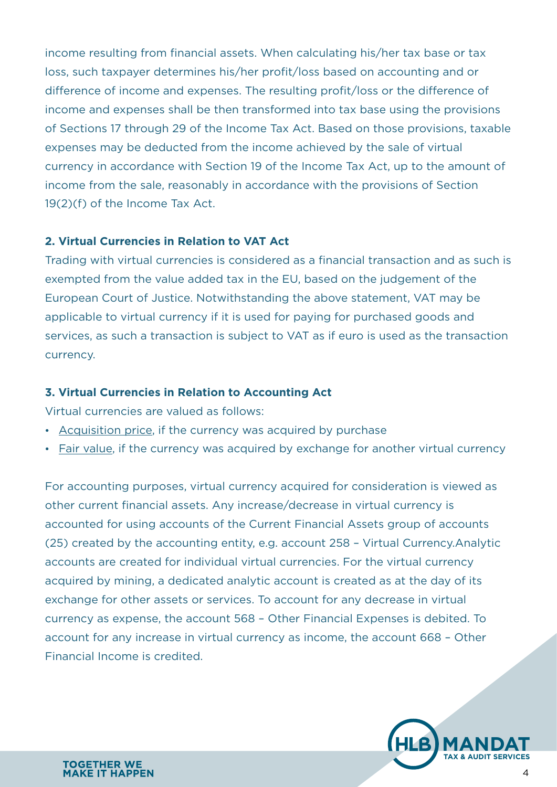income resulting from financial assets. When calculating his/her tax base or tax loss, such taxpayer determines his/her profit/loss based on accounting and or difference of income and expenses. The resulting profit/loss or the difference of income and expenses shall be then transformed into tax base using the provisions of Sections 17 through 29 of the Income Tax Act. Based on those provisions, taxable expenses may be deducted from the income achieved by the sale of virtual currency in accordance with Section 19 of the Income Tax Act, up to the amount of income from the sale, reasonably in accordance with the provisions of Section 19(2)(f) of the Income Tax Act.

# **2. Virtual Currencies in Relation to VAT Act**

Trading with virtual currencies is considered as a financial transaction and as such is exempted from the value added tax in the EU, based on the judgement of the European Court of Justice. Notwithstanding the above statement, VAT may be applicable to virtual currency if it is used for paying for purchased goods and services, as such a transaction is subject to VAT as if euro is used as the transaction currency.

#### **3. Virtual Currencies in Relation to Accounting Act**

Virtual currencies are valued as follows:

- Acquisition price, if the currency was acquired by purchase
- Fair value, if the currency was acquired by exchange for another virtual currency

For accounting purposes, virtual currency acquired for consideration is viewed as other current financial assets. Any increase/decrease in virtual currency is accounted for using accounts of the Current Financial Assets group of accounts (25) created by the accounting entity, e.g. account 258 – Virtual Currency.Analytic accounts are created for individual virtual currencies. For the virtual currency acquired by mining, a dedicated analytic account is created as at the day of its exchange for other assets or services. To account for any decrease in virtual currency as expense, the account 568 – Other Financial Expenses is debited. To account for any increase in virtual currency as income, the account 668 – Other Financial Income is credited.

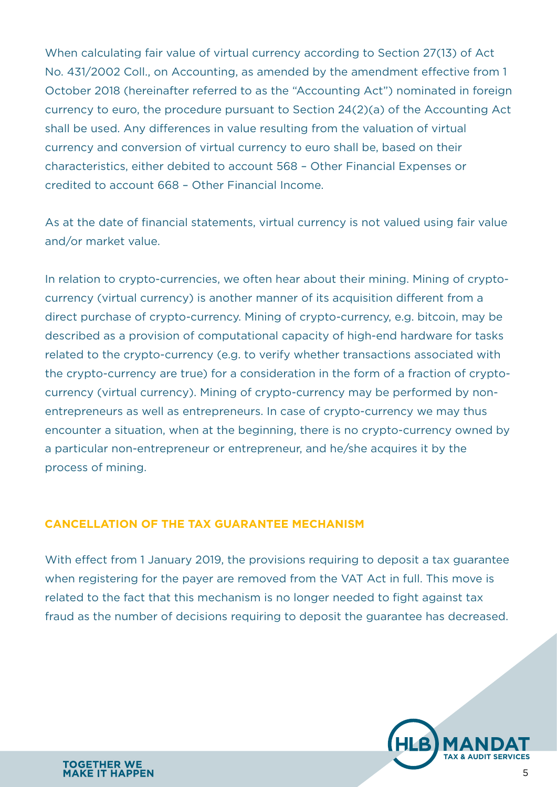When calculating fair value of virtual currency according to Section 27(13) of Act No. 431/2002 Coll., on Accounting, as amended by the amendment effective from 1 October 2018 (hereinafter referred to as the "Accounting Act") nominated in foreign currency to euro, the procedure pursuant to Section 24(2)(a) of the Accounting Act shall be used. Any differences in value resulting from the valuation of virtual currency and conversion of virtual currency to euro shall be, based on their characteristics, either debited to account 568 – Other Financial Expenses or credited to account 668 – Other Financial Income.

As at the date of financial statements, virtual currency is not valued using fair value and/or market value.

In relation to crypto-currencies, we often hear about their mining. Mining of cryptocurrency (virtual currency) is another manner of its acquisition different from a direct purchase of crypto-currency. Mining of crypto-currency, e.g. bitcoin, may be described as a provision of computational capacity of high-end hardware for tasks related to the crypto-currency (e.g. to verify whether transactions associated with the crypto-currency are true) for a consideration in the form of a fraction of cryptocurrency (virtual currency). Mining of crypto-currency may be performed by nonentrepreneurs as well as entrepreneurs. In case of crypto-currency we may thus encounter a situation, when at the beginning, there is no crypto-currency owned by a particular non-entrepreneur or entrepreneur, and he/she acquires it by the process of mining.

#### **CANCELLATION OF THE TAX GUARANTEE MECHANISM**

With effect from 1 January 2019, the provisions requiring to deposit a tax guarantee when registering for the payer are removed from the VAT Act in full. This move is related to the fact that this mechanism is no longer needed to fight against tax fraud as the number of decisions requiring to deposit the guarantee has decreased.

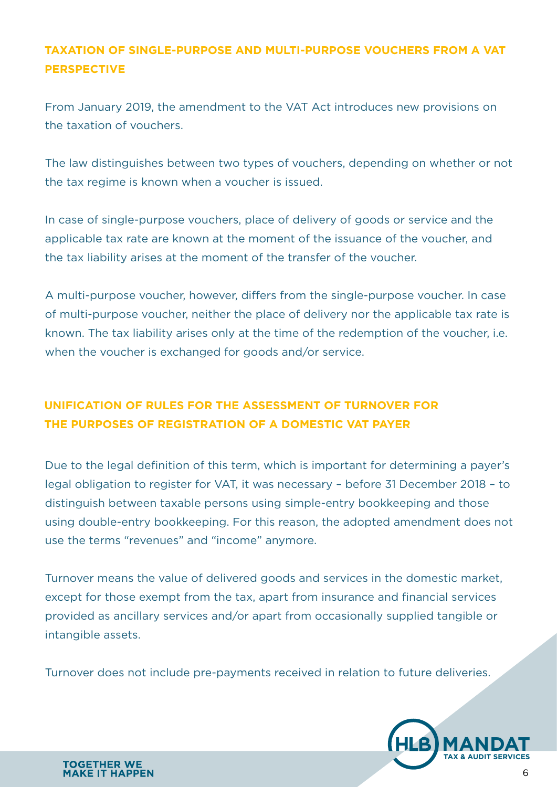# **TAXATION OF SINGLE-PURPOSE AND MULTI-PURPOSE VOUCHERS FROM A VAT PERSPECTIVE**

From January 2019, the amendment to the VAT Act introduces new provisions on the taxation of vouchers.

The law distinguishes between two types of vouchers, depending on whether or not the tax regime is known when a voucher is issued.

In case of single-purpose vouchers, place of delivery of goods or service and the applicable tax rate are known at the moment of the issuance of the voucher, and the tax liability arises at the moment of the transfer of the voucher.

A multi-purpose voucher, however, differs from the single-purpose voucher. In case of multi-purpose voucher, neither the place of delivery nor the applicable tax rate is known. The tax liability arises only at the time of the redemption of the voucher, i.e. when the voucher is exchanged for goods and/or service.

# **UNIFICATION OF RULES FOR THE ASSESSMENT OF TURNOVER FOR THE PURPOSES OF REGISTRATION OF A DOMESTIC VAT PAYER**

Due to the legal definition of this term, which is important for determining a payer's legal obligation to register for VAT, it was necessary – before 31 December 2018 – to distinguish between taxable persons using simple-entry bookkeeping and those using double-entry bookkeeping. For this reason, the adopted amendment does not use the terms "revenues" and "income" anymore.

Turnover means the value of delivered goods and services in the domestic market, except for those exempt from the tax, apart from insurance and financial services provided as ancillary services and/or apart from occasionally supplied tangible or intangible assets.

Turnover does not include pre-payments received in relation to future deliveries.

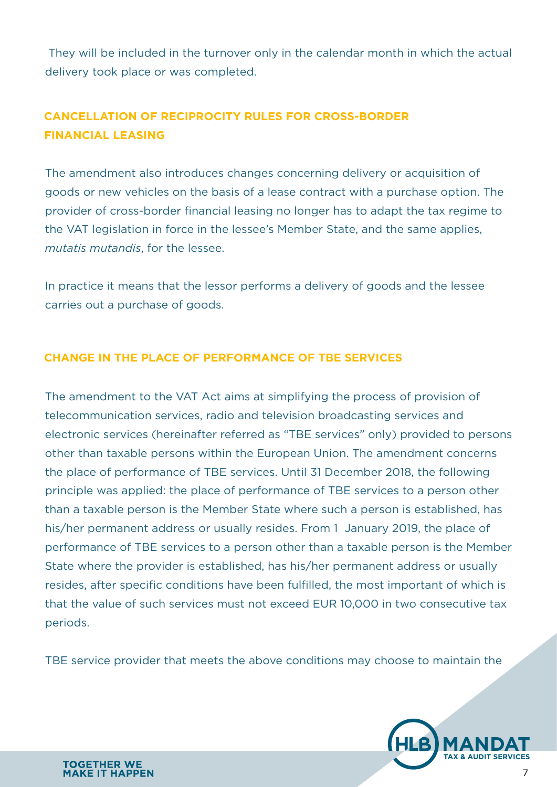They will be included in the turnover only in the calendar month in which the actual delivery took place or was completed.

# **CANCELLATION OF RECIPROCITY RULES FOR CROSS-BORDER FINANCIAL LEASING**

The amendment also introduces changes concerning delivery or acquisition of goods or new vehicles on the basis of a lease contract with a purchase option. The provider of cross-border financial leasing no longer has to adapt the tax regime to the VAT legislation in force in the lessee's Member State, and the same applies, *mutatis mutandis*, for the lessee.

In practice it means that the lessor performs a delivery of goods and the lessee carries out a purchase of goods.

# **CHANGE IN THE PLACE OF PERFORMANCE OF TBE SERVICES**

The amendment to the VAT Act aims at simplifying the process of provision of telecommunication services, radio and television broadcasting services and electronic services (hereinafter referred as "TBE services" only) provided to persons other than taxable persons within the European Union. The amendment concerns the place of performance of TBE services. Until 31 December 2018, the following principle was applied: the place of performance of TBE services to a person other than a taxable person is the Member State where such a person is established, has his/her permanent address or usually resides. From 1 January 2019, the place of performance of TBE services to a person other than a taxable person is the Member State where the provider is established, has his/her permanent address or usually resides, after specific conditions have been fulfilled, the most important of which is that the value of such services must not exceed EUR 10,000 in two consecutive tax periods.

TBE service provider that meets the above conditions may choose to maintain the

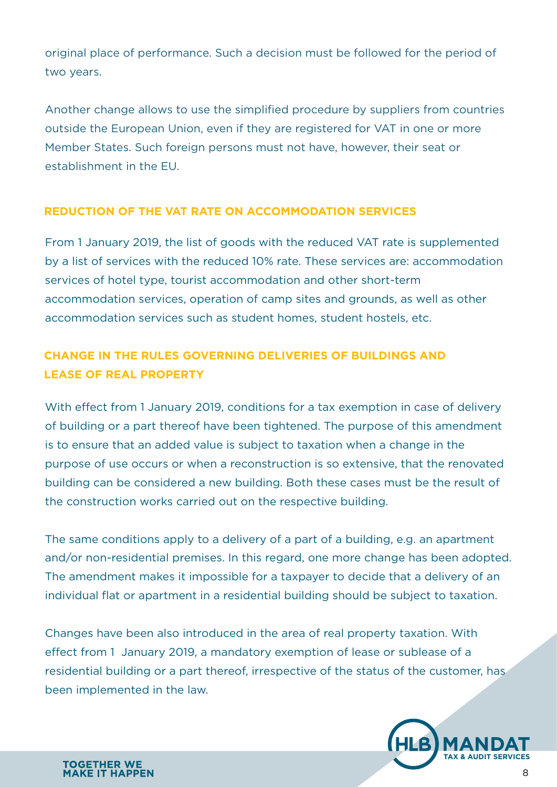original place of performance. Such a decision must be followed for the period of two years.

Another change allows to use the simplified procedure by suppliers from countries outside the European Union, even if they are registered for VAT in one or more Member States. Such foreign persons must not have, however, their seat or establishment in the EU.

# **REDUCTION OF THE VAT RATE ON ACCOMMODATION SERVICES**

From 1 January 2019, the list of goods with the reduced VAT rate is supplemented by a list of services with the reduced 10% rate. These services are: accommodation services of hotel type, tourist accommodation and other short-term accommodation services, operation of camp sites and grounds, as well as other accommodation services such as student homes, student hostels, etc.

# **CHANGE IN THE RULES GOVERNING DELIVERIES OF BUILDINGS AND LEASE OF REAL PROPERTY**

With effect from 1 January 2019, conditions for a tax exemption in case of delivery of building or a part thereof have been tightened. The purpose of this amendment is to ensure that an added value is subject to taxation when a change in the purpose of use occurs or when a reconstruction is so extensive, that the renovated building can be considered a new building. Both these cases must be the result of the construction works carried out on the respective building.

The same conditions apply to a delivery of a part of a building, e.g. an apartment and/or non-residential premises. In this regard, one more change has been adopted. The amendment makes it impossible for a taxpayer to decide that a delivery of an individual flat or apartment in a residential building should be subject to taxation.

Changes have been also introduced in the area of real property taxation. With effect from 1 January 2019, a mandatory exemption of lease or sublease of a residential building or a part thereof, irrespective of the status of the customer, has been implemented in the law.

**TOGETHER WE MAKE IT HAPPEN**